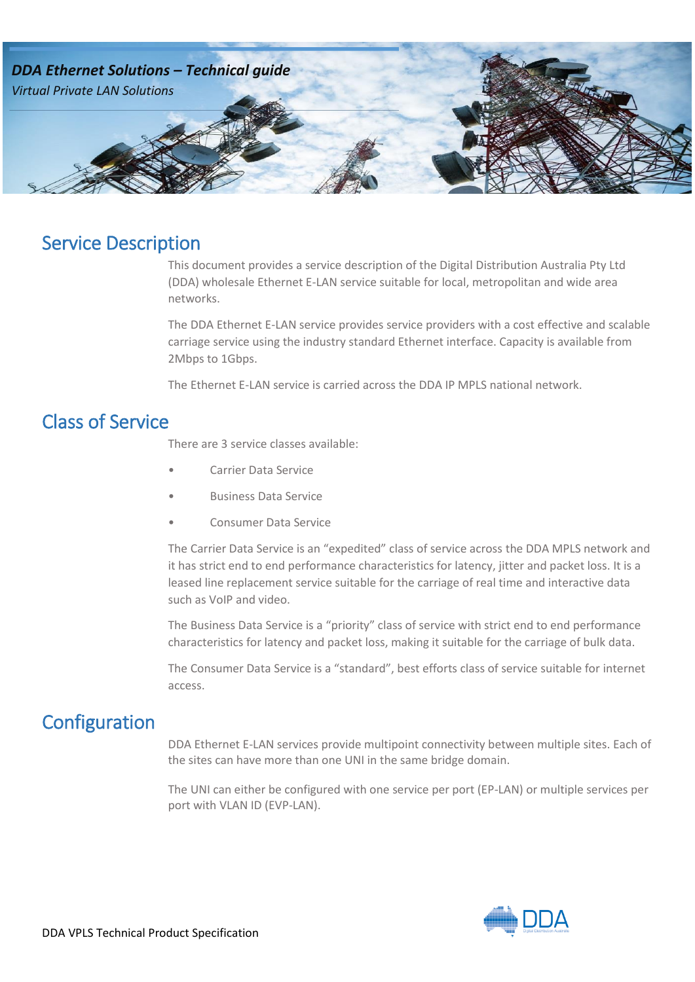

## Service Description

This document provides a service description of the Digital Distribution Australia Pty Ltd (DDA) wholesale Ethernet E-LAN service suitable for local, metropolitan and wide area networks.

The DDA Ethernet E-LAN service provides service providers with a cost effective and scalable carriage service using the industry standard Ethernet interface. Capacity is available from 2Mbps to 1Gbps.

The Ethernet E-LAN service is carried across the DDA IP MPLS national network.

## Class of Service

There are 3 service classes available:

- Carrier Data Service
- Business Data Service
- Consumer Data Service

The Carrier Data Service is an "expedited" class of service across the DDA MPLS network and it has strict end to end performance characteristics for latency, jitter and packet loss. It is a leased line replacement service suitable for the carriage of real time and interactive data such as VoIP and video.

The Business Data Service is a "priority" class of service with strict end to end performance characteristics for latency and packet loss, making it suitable for the carriage of bulk data.

The Consumer Data Service is a "standard", best efforts class of service suitable for internet access.

## **Configuration**

DDA Ethernet E-LAN services provide multipoint connectivity between multiple sites. Each of the sites can have more than one UNI in the same bridge domain.

The UNI can either be configured with one service per port (EP-LAN) or multiple services per port with VLAN ID (EVP-LAN).

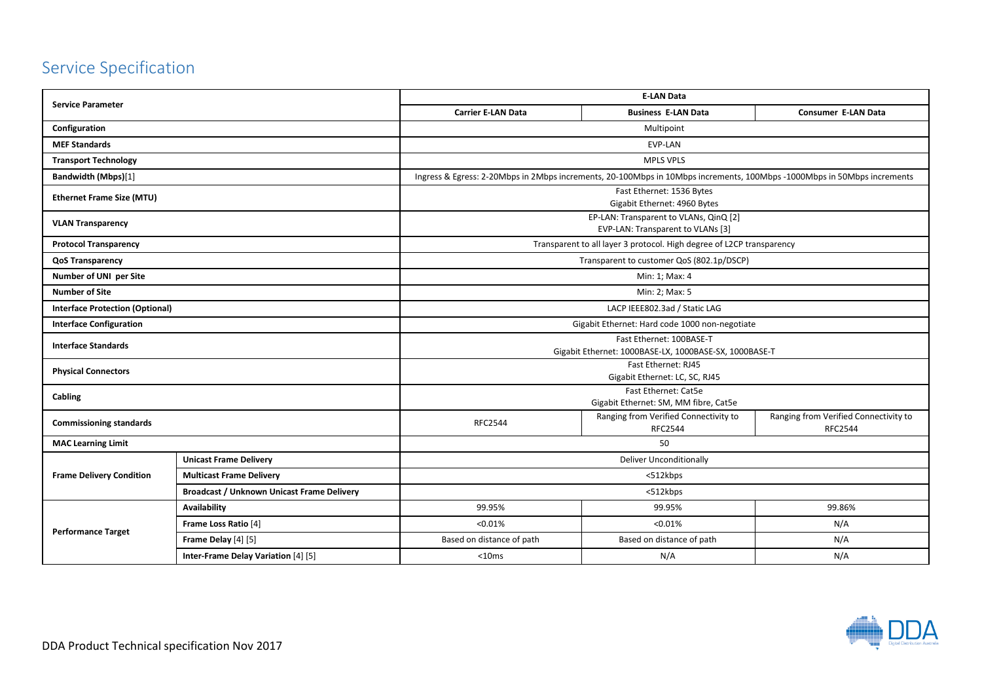## Service Specification

| <b>Service Parameter</b>                                     |                                                   | <b>E-LAN Data</b>                                                                                                       |                                                         |                                                         |
|--------------------------------------------------------------|---------------------------------------------------|-------------------------------------------------------------------------------------------------------------------------|---------------------------------------------------------|---------------------------------------------------------|
|                                                              |                                                   | <b>Carrier E-LAN Data</b>                                                                                               | <b>Business E-LAN Data</b>                              | <b>Consumer E-LAN Data</b>                              |
| Configuration                                                |                                                   | Multipoint                                                                                                              |                                                         |                                                         |
| <b>MEF Standards</b>                                         |                                                   | <b>EVP-LAN</b>                                                                                                          |                                                         |                                                         |
| <b>Transport Technology</b>                                  |                                                   | <b>MPLS VPLS</b>                                                                                                        |                                                         |                                                         |
| Bandwidth (Mbps)[1]                                          |                                                   | Ingress & Egress: 2-20Mbps in 2Mbps increments, 20-100Mbps in 10Mbps increments, 100Mbps -1000Mbps in 50Mbps increments |                                                         |                                                         |
| <b>Ethernet Frame Size (MTU)</b><br><b>VLAN Transparency</b> |                                                   | Fast Ethernet: 1536 Bytes                                                                                               |                                                         |                                                         |
|                                                              |                                                   | Gigabit Ethernet: 4960 Bytes<br>EP-LAN: Transparent to VLANs, QinQ [2]                                                  |                                                         |                                                         |
|                                                              |                                                   | EVP-LAN: Transparent to VLANs [3]                                                                                       |                                                         |                                                         |
| <b>Protocol Transparency</b>                                 |                                                   | Transparent to all layer 3 protocol. High degree of L2CP transparency                                                   |                                                         |                                                         |
| <b>QoS Transparency</b>                                      |                                                   | Transparent to customer QoS (802.1p/DSCP)                                                                               |                                                         |                                                         |
| Number of UNI per Site                                       |                                                   | Min: 1; Max: 4                                                                                                          |                                                         |                                                         |
| <b>Number of Site</b>                                        |                                                   | Min: 2; Max: 5                                                                                                          |                                                         |                                                         |
| <b>Interface Protection (Optional)</b>                       |                                                   | LACP IEEE802.3ad / Static LAG                                                                                           |                                                         |                                                         |
| <b>Interface Configuration</b>                               |                                                   | Gigabit Ethernet: Hard code 1000 non-negotiate                                                                          |                                                         |                                                         |
| <b>Interface Standards</b>                                   |                                                   | Fast Ethernet: 100BASE-T                                                                                                |                                                         |                                                         |
| <b>Physical Connectors</b>                                   |                                                   | Gigabit Ethernet: 1000BASE-LX, 1000BASE-SX, 1000BASE-T<br>Fast Ethernet: RJ45                                           |                                                         |                                                         |
|                                                              |                                                   | Gigabit Ethernet: LC, SC, RJ45                                                                                          |                                                         |                                                         |
| Cabling                                                      |                                                   | Fast Ethernet: Cat5e                                                                                                    |                                                         |                                                         |
|                                                              |                                                   | Gigabit Ethernet: SM, MM fibre, Cat5e                                                                                   |                                                         |                                                         |
| <b>Commissioning standards</b>                               |                                                   | <b>RFC2544</b>                                                                                                          | Ranging from Verified Connectivity to<br><b>RFC2544</b> | Ranging from Verified Connectivity to<br><b>RFC2544</b> |
| <b>MAC Learning Limit</b>                                    |                                                   | 50                                                                                                                      |                                                         |                                                         |
| <b>Frame Delivery Condition</b>                              | <b>Unicast Frame Delivery</b>                     | Deliver Unconditionally                                                                                                 |                                                         |                                                         |
|                                                              | <b>Multicast Frame Delivery</b>                   | <512kbps                                                                                                                |                                                         |                                                         |
|                                                              | <b>Broadcast / Unknown Unicast Frame Delivery</b> | <512kbps                                                                                                                |                                                         |                                                         |
| <b>Performance Target</b>                                    | Availability                                      | 99.95%                                                                                                                  | 99.95%                                                  | 99.86%                                                  |
|                                                              | Frame Loss Ratio [4]                              | < 0.01%                                                                                                                 | < 0.01%                                                 | N/A                                                     |
|                                                              | Frame Delay [4] [5]                               | Based on distance of path                                                                                               | Based on distance of path                               | N/A                                                     |
|                                                              | Inter-Frame Delay Variation [4] [5]               | $<$ 10 $ms$                                                                                                             | N/A                                                     | N/A                                                     |